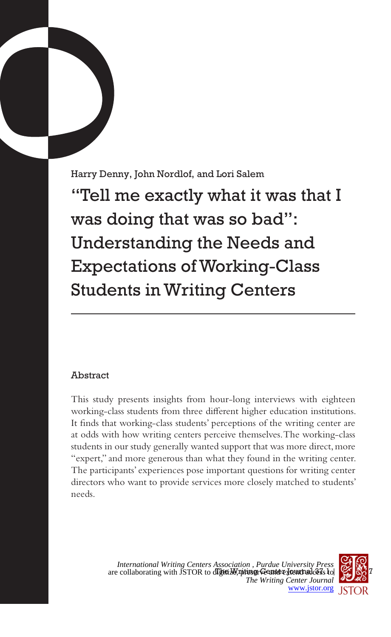Harry Denny, John Nordlof, and Lori Salem "Tell me exactly what it was that I was doing that was so bad": Understanding the Needs and Expectations of Working-Class Students in Writing Centers

# Abstract

This study presents insights from hour-long interviews with eighteen working-class students from three different higher education institutions. It finds that working-class students' perceptions of the writing center are at odds with how writing centers perceive themselves. The working-class students in our study generally wanted support that was more direct, more "expert," and more generous than what they found in the writing center. The participants' experiences pose important questions for writing center directors who want to provide services more closely matched to students' needs.



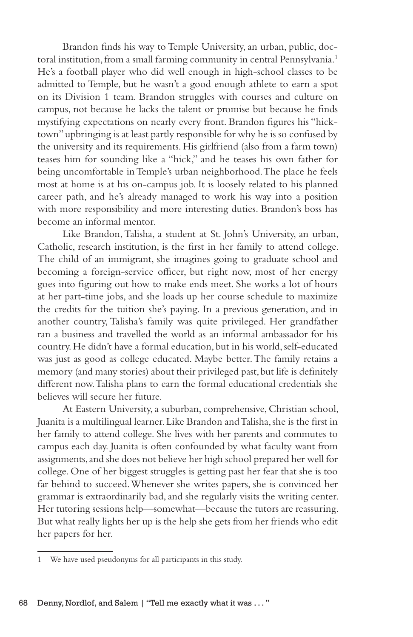Brandon finds his way to Temple University, an urban, public, doctoral institution, from a small farming community in central Pennsylvania.<sup>1</sup> He's a football player who did well enough in high-school classes to be admitted to Temple, but he wasn't a good enough athlete to earn a spot on its Division 1 team. Brandon struggles with courses and culture on campus, not because he lacks the talent or promise but because he finds mystifying expectations on nearly every front. Brandon figures his "hicktown" upbringing is at least partly responsible for why he is so confused by the university and its requirements. His girlfriend (also from a farm town) teases him for sounding like a "hick," and he teases his own father for being uncomfortable in Temple's urban neighborhood. The place he feels most at home is at his on-campus job. It is loosely related to his planned career path, and he's already managed to work his way into a position with more responsibility and more interesting duties. Brandon's boss has become an informal mentor.

Like Brandon, Talisha, a student at St. John's University, an urban, Catholic, research institution, is the first in her family to attend college. The child of an immigrant, she imagines going to graduate school and becoming a foreign-service officer, but right now, most of her energy goes into figuring out how to make ends meet. She works a lot of hours at her part-time jobs, and she loads up her course schedule to maximize the credits for the tuition she's paying. In a previous generation, and in another country, Talisha's family was quite privileged. Her grandfather ran a business and travelled the world as an informal ambassador for his country. He didn't have a formal education, but in his world, self-educated was just as good as college educated. Maybe better. The family retains a memory (and many stories) about their privileged past, but life is definitely different now. Talisha plans to earn the formal educational credentials she believes will secure her future.

At Eastern University, a suburban, comprehensive, Christian school, Juanita is a multilingual learner. Like Brandon and Talisha, she is the first in her family to attend college. She lives with her parents and commutes to campus each day. Juanita is often confounded by what faculty want from assignments, and she does not believe her high school prepared her well for college. One of her biggest struggles is getting past her fear that she is too far behind to succeed. Whenever she writes papers, she is convinced her grammar is extraordinarily bad, and she regularly visits the writing center. Her tutoring sessions help—somewhat—because the tutors are reassuring. But what really lights her up is the help she gets from her friends who edit her papers for her.

<sup>1</sup> We have used pseudonyms for all participants in this study.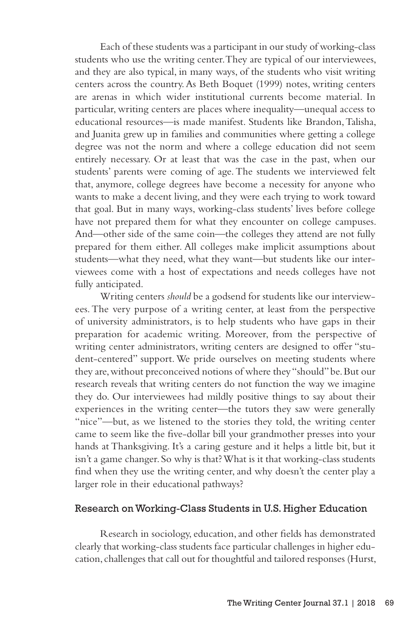Each of these students was a participant in our study of working-class students who use the writing center. They are typical of our interviewees, and they are also typical, in many ways, of the students who visit writing centers across the country. As Beth Boquet (1999) notes, writing centers are arenas in which wider institutional currents become material. In particular, writing centers are places where inequality—unequal access to educational resources—is made manifest. Students like Brandon, Talisha, and Juanita grew up in families and communities where getting a college degree was not the norm and where a college education did not seem entirely necessary. Or at least that was the case in the past, when our students' parents were coming of age. The students we interviewed felt that, anymore, college degrees have become a necessity for anyone who wants to make a decent living, and they were each trying to work toward that goal. But in many ways, working-class students' lives before college have not prepared them for what they encounter on college campuses. And—other side of the same coin—the colleges they attend are not fully prepared for them either. All colleges make implicit assumptions about students—what they need, what they want—but students like our interviewees come with a host of expectations and needs colleges have not fully anticipated.

Writing centers *should* be a godsend for students like our interviewees. The very purpose of a writing center, at least from the perspective of university administrators, is to help students who have gaps in their preparation for academic writing. Moreover, from the perspective of writing center administrators, writing centers are designed to offer "student-centered" support. We pride ourselves on meeting students where they are, without preconceived notions of where they "should" be. But our research reveals that writing centers do not function the way we imagine they do. Our interviewees had mildly positive things to say about their experiences in the writing center—the tutors they saw were generally "nice"—but, as we listened to the stories they told, the writing center came to seem like the five-dollar bill your grandmother presses into your hands at Thanksgiving. It's a caring gesture and it helps a little bit, but it isn't a game changer. So why is that? What is it that working-class students find when they use the writing center, and why doesn't the center play a larger role in their educational pathways?

# Research on Working-Class Students in U.S. Higher Education

Research in sociology, education, and other fields has demonstrated clearly that working-class students face particular challenges in higher education, challenges that call out for thoughtful and tailored responses (Hurst,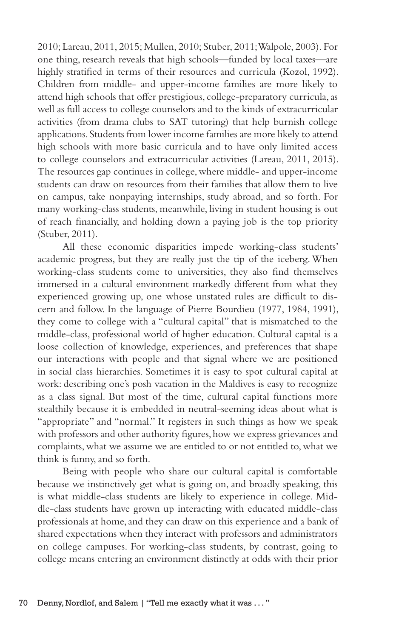2010; Lareau, 2011, 2015; Mullen, 2010; Stuber, 2011; Walpole, 2003). For one thing, research reveals that high schools—funded by local taxes—are highly stratified in terms of their resources and curricula (Kozol, 1992). Children from middle- and upper-income families are more likely to attend high schools that offer prestigious, college-preparatory curricula, as well as full access to college counselors and to the kinds of extracurricular activities (from drama clubs to SAT tutoring) that help burnish college applications. Students from lower income families are more likely to attend high schools with more basic curricula and to have only limited access to college counselors and extracurricular activities (Lareau, 2011, 2015). The resources gap continues in college, where middle- and upper-income students can draw on resources from their families that allow them to live on campus, take nonpaying internships, study abroad, and so forth. For many working-class students, meanwhile, living in student housing is out of reach financially, and holding down a paying job is the top priority (Stuber, 2011).

All these economic disparities impede working-class students' academic progress, but they are really just the tip of the iceberg. When working-class students come to universities, they also find themselves immersed in a cultural environment markedly different from what they experienced growing up, one whose unstated rules are difficult to discern and follow. In the language of Pierre Bourdieu (1977, 1984, 1991), they come to college with a "cultural capital" that is mismatched to the middle-class, professional world of higher education. Cultural capital is a loose collection of knowledge, experiences, and preferences that shape our interactions with people and that signal where we are positioned in social class hierarchies. Sometimes it is easy to spot cultural capital at work: describing one's posh vacation in the Maldives is easy to recognize as a class signal. But most of the time, cultural capital functions more stealthily because it is embedded in neutral-seeming ideas about what is "appropriate" and "normal." It registers in such things as how we speak with professors and other authority figures, how we express grievances and complaints, what we assume we are entitled to or not entitled to, what we think is funny, and so forth.

Being with people who share our cultural capital is comfortable because we instinctively get what is going on, and broadly speaking, this is what middle-class students are likely to experience in college. Middle-class students have grown up interacting with educated middle-class professionals at home, and they can draw on this experience and a bank of shared expectations when they interact with professors and administrators on college campuses. For working-class students, by contrast, going to college means entering an environment distinctly at odds with their prior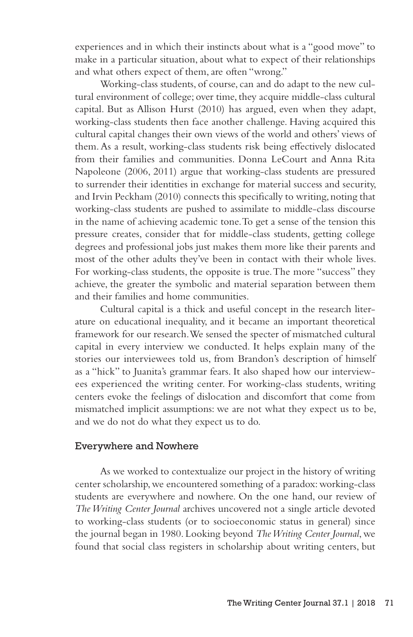experiences and in which their instincts about what is a "good move" to make in a particular situation, about what to expect of their relationships and what others expect of them, are often "wrong."

Working-class students, of course, can and do adapt to the new cultural environment of college; over time, they acquire middle-class cultural capital. But as Allison Hurst (2010) has argued, even when they adapt, working-class students then face another challenge. Having acquired this cultural capital changes their own views of the world and others' views of them. As a result, working-class students risk being effectively dislocated from their families and communities. Donna LeCourt and Anna Rita Napoleone (2006, 2011) argue that working-class students are pressured to surrender their identities in exchange for material success and security, and Irvin Peckham (2010) connects this specifically to writing, noting that working-class students are pushed to assimilate to middle-class discourse in the name of achieving academic tone. To get a sense of the tension this pressure creates, consider that for middle-class students, getting college degrees and professional jobs just makes them more like their parents and most of the other adults they've been in contact with their whole lives. For working-class students, the opposite is true. The more "success" they achieve, the greater the symbolic and material separation between them and their families and home communities.

Cultural capital is a thick and useful concept in the research literature on educational inequality, and it became an important theoretical framework for our research. We sensed the specter of mismatched cultural capital in every interview we conducted. It helps explain many of the stories our interviewees told us, from Brandon's description of himself as a "hick" to Juanita's grammar fears. It also shaped how our interviewees experienced the writing center. For working-class students, writing centers evoke the feelings of dislocation and discomfort that come from mismatched implicit assumptions: we are not what they expect us to be, and we do not do what they expect us to do.

#### Everywhere and Nowhere

As we worked to contextualize our project in the history of writing center scholarship, we encountered something of a paradox: working-class students are everywhere and nowhere. On the one hand, our review of *The Writing Center Journal* archives uncovered not a single article devoted to working-class students (or to socioeconomic status in general) since the journal began in 1980. Looking beyond *The Writing Center Journal*, we found that social class registers in scholarship about writing centers, but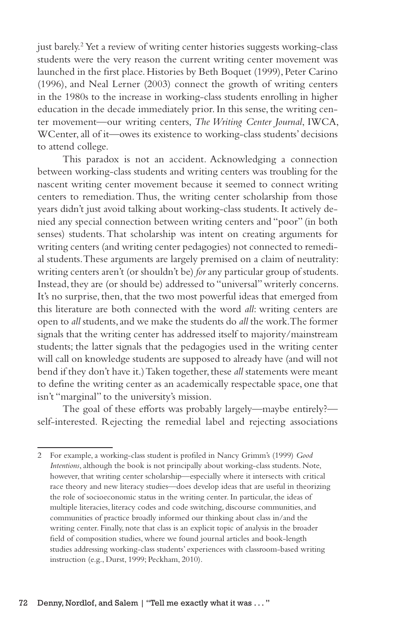just barely.2 Yet a review of writing center histories suggests working-class students were the very reason the current writing center movement was launched in the first place. Histories by Beth Boquet (1999), Peter Carino (1996), and Neal Lerner (2003) connect the growth of writing centers in the 1980s to the increase in working-class students enrolling in higher education in the decade immediately prior. In this sense, the writing center movement—our writing centers, *The Writing Center Journal*, IWCA, WCenter, all of it—owes its existence to working-class students' decisions to attend college.

This paradox is not an accident. Acknowledging a connection between working-class students and writing centers was troubling for the nascent writing center movement because it seemed to connect writing centers to remediation. Thus, the writing center scholarship from those years didn't just avoid talking about working-class students. It actively denied any special connection between writing centers and "poor" (in both senses) students. That scholarship was intent on creating arguments for writing centers (and writing center pedagogies) not connected to remedial students. These arguments are largely premised on a claim of neutrality: writing centers aren't (or shouldn't be) *for* any particular group of students. Instead, they are (or should be) addressed to "universal" writerly concerns. It's no surprise, then, that the two most powerful ideas that emerged from this literature are both connected with the word *all*: writing centers are open to *all* students, and we make the students do *all* the work. The former signals that the writing center has addressed itself to majority/mainstream students; the latter signals that the pedagogies used in the writing center will call on knowledge students are supposed to already have (and will not bend if they don't have it.) Taken together, these *all* statements were meant to define the writing center as an academically respectable space, one that isn't "marginal" to the university's mission.

The goal of these efforts was probably largely—maybe entirely? self-interested. Rejecting the remedial label and rejecting associations

<sup>2</sup> For example, a working-class student is profiled in Nancy Grimm's (1999) *Good Intentions*, although the book is not principally about working-class students. Note, however, that writing center scholarship—especially where it intersects with critical race theory and new literacy studies—does develop ideas that are useful in theorizing the role of socioeconomic status in the writing center. In particular, the ideas of multiple literacies, literacy codes and code switching, discourse communities, and communities of practice broadly informed our thinking about class in/and the writing center. Finally, note that class is an explicit topic of analysis in the broader field of composition studies, where we found journal articles and book-length studies addressing working-class students' experiences with classroom-based writing instruction (e.g., Durst, 1999; Peckham, 2010).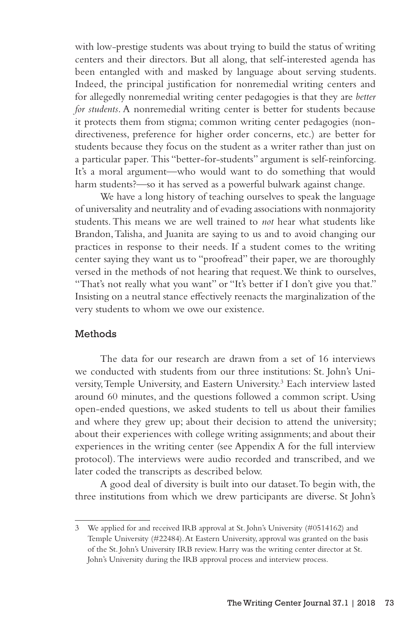with low-prestige students was about trying to build the status of writing centers and their directors. But all along, that self-interested agenda has been entangled with and masked by language about serving students. Indeed, the principal justification for nonremedial writing centers and for allegedly nonremedial writing center pedagogies is that they are *better for students*. A nonremedial writing center is better for students because it protects them from stigma; common writing center pedagogies (nondirectiveness, preference for higher order concerns, etc.) are better for students because they focus on the student as a writer rather than just on a particular paper. This "better-for-students" argument is self-reinforcing. It's a moral argument—who would want to do something that would harm students?—so it has served as a powerful bulwark against change.

We have a long history of teaching ourselves to speak the language of universality and neutrality and of evading associations with nonmajority students. This means we are well trained to *not* hear what students like Brandon, Talisha, and Juanita are saying to us and to avoid changing our practices in response to their needs. If a student comes to the writing center saying they want us to "proofread" their paper, we are thoroughly versed in the methods of not hearing that request. We think to ourselves, "That's not really what you want" or "It's better if I don't give you that." Insisting on a neutral stance effectively reenacts the marginalization of the very students to whom we owe our existence.

# Methods

The data for our research are drawn from a set of 16 interviews we conducted with students from our three institutions: St. John's University, Temple University, and Eastern University.<sup>3</sup> Each interview lasted around 60 minutes, and the questions followed a common script. Using open-ended questions, we asked students to tell us about their families and where they grew up; about their decision to attend the university; about their experiences with college writing assignments; and about their experiences in the writing center (see Appendix A for the full interview protocol). The interviews were audio recorded and transcribed, and we later coded the transcripts as described below.

A good deal of diversity is built into our dataset. To begin with, the three institutions from which we drew participants are diverse. St John's

<sup>3</sup> We applied for and received IRB approval at St. John's University (#0514162) and Temple University (#22484). At Eastern University, approval was granted on the basis of the St. John's University IRB review. Harry was the writing center director at St. John's University during the IRB approval process and interview process.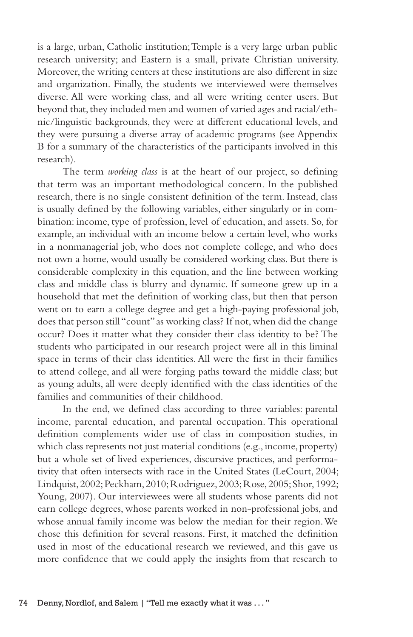is a large, urban, Catholic institution; Temple is a very large urban public research university; and Eastern is a small, private Christian university. Moreover, the writing centers at these institutions are also different in size and organization. Finally, the students we interviewed were themselves diverse. All were working class, and all were writing center users. But beyond that, they included men and women of varied ages and racial/ethnic/linguistic backgrounds, they were at different educational levels, and they were pursuing a diverse array of academic programs (see Appendix B for a summary of the characteristics of the participants involved in this research).

The term *working class* is at the heart of our project, so defining that term was an important methodological concern. In the published research, there is no single consistent definition of the term. Instead, class is usually defined by the following variables, either singularly or in combination: income, type of profession, level of education, and assets. So, for example, an individual with an income below a certain level, who works in a nonmanagerial job, who does not complete college, and who does not own a home, would usually be considered working class. But there is considerable complexity in this equation, and the line between working class and middle class is blurry and dynamic. If someone grew up in a household that met the definition of working class, but then that person went on to earn a college degree and get a high-paying professional job, does that person still "count" as working class? If not, when did the change occur? Does it matter what they consider their class identity to be? The students who participated in our research project were all in this liminal space in terms of their class identities. All were the first in their families to attend college, and all were forging paths toward the middle class; but as young adults, all were deeply identified with the class identities of the families and communities of their childhood.

In the end, we defined class according to three variables: parental income, parental education, and parental occupation. This operational definition complements wider use of class in composition studies, in which class represents not just material conditions (e.g., income, property) but a whole set of lived experiences, discursive practices, and performativity that often intersects with race in the United States (LeCourt, 2004; Lindquist, 2002; Peckham, 2010; Rodriguez, 2003; Rose, 2005; Shor, 1992; Young, 2007). Our interviewees were all students whose parents did not earn college degrees, whose parents worked in non-professional jobs, and whose annual family income was below the median for their region. We chose this definition for several reasons. First, it matched the definition used in most of the educational research we reviewed, and this gave us more confidence that we could apply the insights from that research to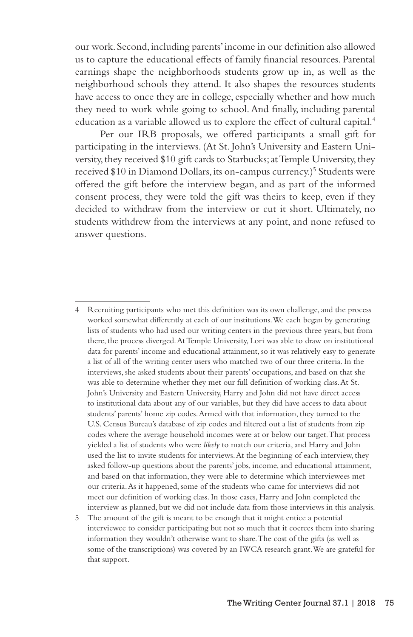our work. Second, including parents' income in our definition also allowed us to capture the educational effects of family financial resources. Parental earnings shape the neighborhoods students grow up in, as well as the neighborhood schools they attend. It also shapes the resources students have access to once they are in college, especially whether and how much they need to work while going to school. And finally, including parental education as a variable allowed us to explore the effect of cultural capital.<sup>4</sup>

Per our IRB proposals, we offered participants a small gift for participating in the interviews. (At St. John's University and Eastern University, they received \$10 gift cards to Starbucks; at Temple University, they received \$10 in Diamond Dollars, its on-campus currency.)<sup>5</sup> Students were offered the gift before the interview began, and as part of the informed consent process, they were told the gift was theirs to keep, even if they decided to withdraw from the interview or cut it short. Ultimately, no students withdrew from the interviews at any point, and none refused to answer questions.

<sup>4</sup> Recruiting participants who met this definition was its own challenge, and the process worked somewhat differently at each of our institutions. We each began by generating lists of students who had used our writing centers in the previous three years, but from there, the process diverged. At Temple University, Lori was able to draw on institutional data for parents' income and educational attainment, so it was relatively easy to generate a list of all of the writing center users who matched two of our three criteria. In the interviews, she asked students about their parents' occupations, and based on that she was able to determine whether they met our full definition of working class. At St. John's University and Eastern University, Harry and John did not have direct access to institutional data about any of our variables, but they did have access to data about students' parents' home zip codes. Armed with that information, they turned to the U.S. Census Bureau's database of zip codes and filtered out a list of students from zip codes where the average household incomes were at or below our target. That process yielded a list of students who were *likely* to match our criteria, and Harry and John used the list to invite students for interviews. At the beginning of each interview, they asked follow-up questions about the parents' jobs, income, and educational attainment, and based on that information, they were able to determine which interviewees met our criteria. As it happened, some of the students who came for interviews did not meet our definition of working class. In those cases, Harry and John completed the interview as planned, but we did not include data from those interviews in this analysis.

<sup>5</sup> The amount of the gift is meant to be enough that it might entice a potential interviewee to consider participating but not so much that it coerces them into sharing information they wouldn't otherwise want to share. The cost of the gifts (as well as some of the transcriptions) was covered by an IWCA research grant. We are grateful for that support.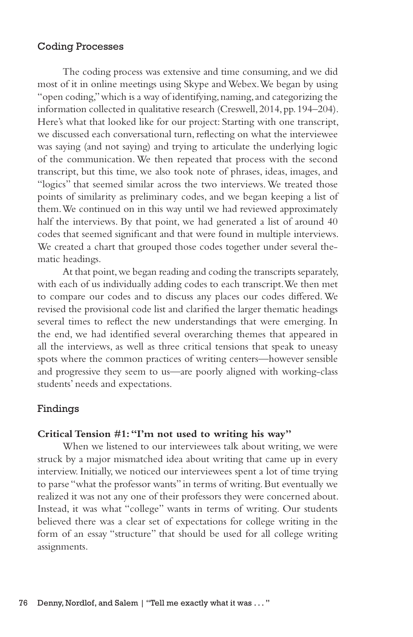### Coding Processes

The coding process was extensive and time consuming, and we did most of it in online meetings using Skype and Webex. We began by using "open coding," which is a way of identifying, naming, and categorizing the information collected in qualitative research (Creswell, 2014, pp. 194–204). Here's what that looked like for our project: Starting with one transcript, we discussed each conversational turn, reflecting on what the interviewee was saying (and not saying) and trying to articulate the underlying logic of the communication. We then repeated that process with the second transcript, but this time, we also took note of phrases, ideas, images, and "logics" that seemed similar across the two interviews. We treated those points of similarity as preliminary codes, and we began keeping a list of them. We continued on in this way until we had reviewed approximately half the interviews. By that point, we had generated a list of around 40 codes that seemed significant and that were found in multiple interviews. We created a chart that grouped those codes together under several thematic headings.

At that point, we began reading and coding the transcripts separately, with each of us individually adding codes to each transcript. We then met to compare our codes and to discuss any places our codes differed. We revised the provisional code list and clarified the larger thematic headings several times to reflect the new understandings that were emerging. In the end, we had identified several overarching themes that appeared in all the interviews, as well as three critical tensions that speak to uneasy spots where the common practices of writing centers—however sensible and progressive they seem to us—are poorly aligned with working-class students' needs and expectations.

### Findings

### **Critical Tension #1: "I'm not used to writing his way"**

When we listened to our interviewees talk about writing, we were struck by a major mismatched idea about writing that came up in every interview. Initially, we noticed our interviewees spent a lot of time trying to parse "what the professor wants" in terms of writing. But eventually we realized it was not any one of their professors they were concerned about. Instead, it was what "college" wants in terms of writing. Our students believed there was a clear set of expectations for college writing in the form of an essay "structure" that should be used for all college writing assignments.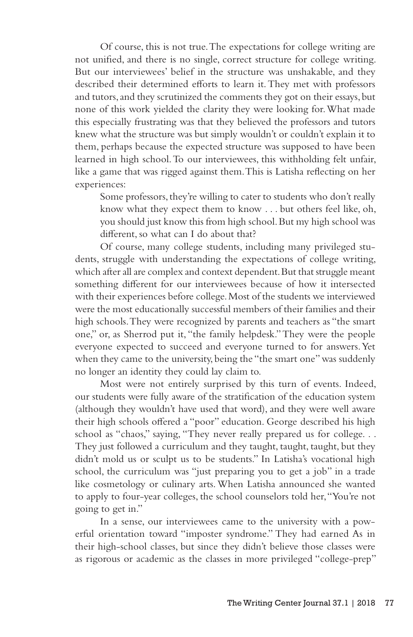Of course, this is not true. The expectations for college writing are not unified, and there is no single, correct structure for college writing. But our interviewees' belief in the structure was unshakable, and they described their determined efforts to learn it. They met with professors and tutors, and they scrutinized the comments they got on their essays, but none of this work yielded the clarity they were looking for. What made this especially frustrating was that they believed the professors and tutors knew what the structure was but simply wouldn't or couldn't explain it to them, perhaps because the expected structure was supposed to have been learned in high school. To our interviewees, this withholding felt unfair, like a game that was rigged against them. This is Latisha reflecting on her experiences:

Some professors, they're willing to cater to students who don't really know what they expect them to know . . . but others feel like, oh, you should just know this from high school. But my high school was different, so what can I do about that?

Of course, many college students, including many privileged students, struggle with understanding the expectations of college writing, which after all are complex and context dependent. But that struggle meant something different for our interviewees because of how it intersected with their experiences before college. Most of the students we interviewed were the most educationally successful members of their families and their high schools. They were recognized by parents and teachers as "the smart one," or, as Sherrod put it, "the family helpdesk." They were the people everyone expected to succeed and everyone turned to for answers. Yet when they came to the university, being the "the smart one" was suddenly no longer an identity they could lay claim to.

Most were not entirely surprised by this turn of events. Indeed, our students were fully aware of the stratification of the education system (although they wouldn't have used that word), and they were well aware their high schools offered a "poor" education. George described his high school as "chaos," saying, "They never really prepared us for college. . . They just followed a curriculum and they taught, taught, taught, but they didn't mold us or sculpt us to be students." In Latisha's vocational high school, the curriculum was "just preparing you to get a job" in a trade like cosmetology or culinary arts. When Latisha announced she wanted to apply to four-year colleges, the school counselors told her, "You're not going to get in."

In a sense, our interviewees came to the university with a powerful orientation toward "imposter syndrome." They had earned As in their high-school classes, but since they didn't believe those classes were as rigorous or academic as the classes in more privileged "college-prep"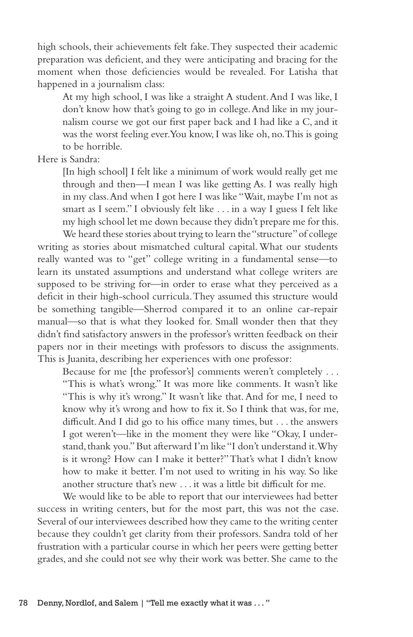high schools, their achievements felt fake. They suspected their academic preparation was deficient, and they were anticipating and bracing for the moment when those deficiencies would be revealed. For Latisha that happened in a journalism class:

At my high school, I was like a straight A student. And I was like, I don't know how that's going to go in college. And like in my journalism course we got our first paper back and I had like a C, and it was the worst feeling ever. You know, I was like oh, no. This is going to be horrible.

Here is Sandra:

[In high school] I felt like a minimum of work would really get me through and then—I mean I was like getting As. I was really high in my class. And when I got here I was like "Wait, maybe I'm not as smart as I seem." I obviously felt like . . . in a way I guess I felt like my high school let me down because they didn't prepare me for this.

We heard these stories about trying to learn the "structure" of college writing as stories about mismatched cultural capital. What our students really wanted was to "get" college writing in a fundamental sense—to learn its unstated assumptions and understand what college writers are supposed to be striving for—in order to erase what they perceived as a deficit in their high-school curricula. They assumed this structure would be something tangible—Sherrod compared it to an online car-repair manual—so that is what they looked for. Small wonder then that they didn't find satisfactory answers in the professor's written feedback on their papers nor in their meetings with professors to discuss the assignments. This is Juanita, describing her experiences with one professor:

Because for me [the professor's] comments weren't completely . . . "This is what's wrong." It was more like comments. It wasn't like "This is why it's wrong." It wasn't like that. And for me, I need to know why it's wrong and how to fix it. So I think that was, for me, difficult. And I did go to his office many times, but . . . the answers I got weren't—like in the moment they were like "Okay, I understand, thank you." But afterward I'm like "I don't understand it. Why is it wrong? How can I make it better?" That's what I didn't know how to make it better. I'm not used to writing in his way. So like another structure that's new . . . it was a little bit difficult for me.

We would like to be able to report that our interviewees had better success in writing centers, but for the most part, this was not the case. Several of our interviewees described how they came to the writing center because they couldn't get clarity from their professors. Sandra told of her frustration with a particular course in which her peers were getting better grades, and she could not see why their work was better. She came to the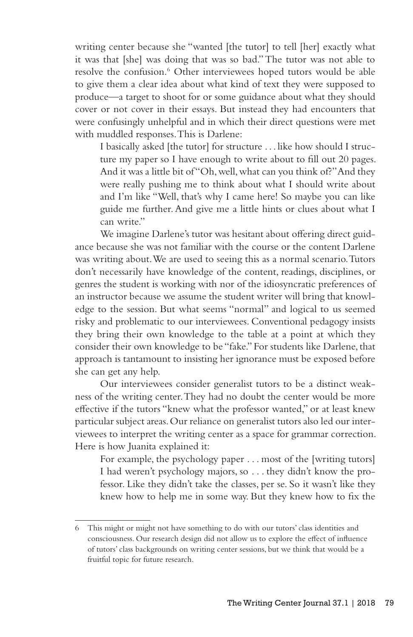writing center because she "wanted [the tutor] to tell [her] exactly what it was that [she] was doing that was so bad." The tutor was not able to resolve the confusion.<sup>6</sup> Other interviewees hoped tutors would be able to give them a clear idea about what kind of text they were supposed to produce—a target to shoot for or some guidance about what they should cover or not cover in their essays. But instead they had encounters that were confusingly unhelpful and in which their direct questions were met with muddled responses. This is Darlene:

I basically asked [the tutor] for structure . . . like how should I structure my paper so I have enough to write about to fill out 20 pages. And it was a little bit of "Oh, well, what can you think of?" And they were really pushing me to think about what I should write about and I'm like "Well, that's why I came here! So maybe you can like guide me further. And give me a little hints or clues about what I can write."

We imagine Darlene's tutor was hesitant about offering direct guidance because she was not familiar with the course or the content Darlene was writing about. We are used to seeing this as a normal scenario. Tutors don't necessarily have knowledge of the content, readings, disciplines, or genres the student is working with nor of the idiosyncratic preferences of an instructor because we assume the student writer will bring that knowledge to the session. But what seems "normal" and logical to us seemed risky and problematic to our interviewees. Conventional pedagogy insists they bring their own knowledge to the table at a point at which they consider their own knowledge to be "fake." For students like Darlene, that approach is tantamount to insisting her ignorance must be exposed before she can get any help.

Our interviewees consider generalist tutors to be a distinct weakness of the writing center. They had no doubt the center would be more effective if the tutors "knew what the professor wanted," or at least knew particular subject areas. Our reliance on generalist tutors also led our interviewees to interpret the writing center as a space for grammar correction. Here is how Juanita explained it:

For example, the psychology paper . . . most of the [writing tutors] I had weren't psychology majors, so . . . they didn't know the professor. Like they didn't take the classes, per se. So it wasn't like they knew how to help me in some way. But they knew how to fix the

<sup>6</sup> This might or might not have something to do with our tutors' class identities and consciousness. Our research design did not allow us to explore the effect of influence of tutors' class backgrounds on writing center sessions, but we think that would be a fruitful topic for future research.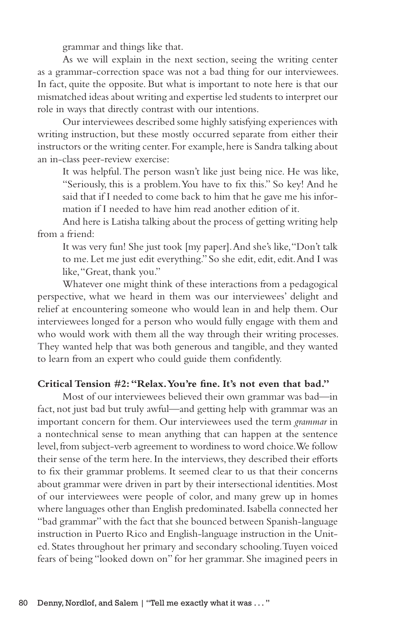grammar and things like that.

As we will explain in the next section, seeing the writing center as a grammar-correction space was not a bad thing for our interviewees. In fact, quite the opposite. But what is important to note here is that our mismatched ideas about writing and expertise led students to interpret our role in ways that directly contrast with our intentions.

Our interviewees described some highly satisfying experiences with writing instruction, but these mostly occurred separate from either their instructors or the writing center. For example, here is Sandra talking about an in-class peer-review exercise:

It was helpful. The person wasn't like just being nice. He was like, "Seriously, this is a problem. You have to fix this." So key! And he said that if I needed to come back to him that he gave me his information if I needed to have him read another edition of it.

And here is Latisha talking about the process of getting writing help from a friend:

It was very fun! She just took [my paper]. And she's like, "Don't talk to me. Let me just edit everything." So she edit, edit, edit. And I was like, "Great, thank you."

Whatever one might think of these interactions from a pedagogical perspective, what we heard in them was our interviewees' delight and relief at encountering someone who would lean in and help them. Our interviewees longed for a person who would fully engage with them and who would work with them all the way through their writing processes. They wanted help that was both generous and tangible, and they wanted to learn from an expert who could guide them confidently.

### **Critical Tension #2: "Relax. You're fine. It's not even that bad."**

Most of our interviewees believed their own grammar was bad—in fact, not just bad but truly awful—and getting help with grammar was an important concern for them. Our interviewees used the term *grammar* in a nontechnical sense to mean anything that can happen at the sentence level, from subject-verb agreement to wordiness to word choice. We follow their sense of the term here. In the interviews, they described their efforts to fix their grammar problems. It seemed clear to us that their concerns about grammar were driven in part by their intersectional identities. Most of our interviewees were people of color, and many grew up in homes where languages other than English predominated. Isabella connected her "bad grammar" with the fact that she bounced between Spanish-language instruction in Puerto Rico and English-language instruction in the United. States throughout her primary and secondary schooling. Tuyen voiced fears of being "looked down on" for her grammar. She imagined peers in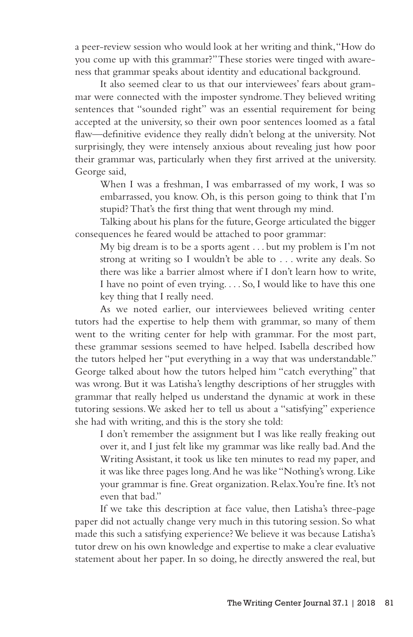a peer-review session who would look at her writing and think, "How do you come up with this grammar?" These stories were tinged with awareness that grammar speaks about identity and educational background.

It also seemed clear to us that our interviewees' fears about grammar were connected with the imposter syndrome. They believed writing sentences that "sounded right" was an essential requirement for being accepted at the university, so their own poor sentences loomed as a fatal flaw—definitive evidence they really didn't belong at the university. Not surprisingly, they were intensely anxious about revealing just how poor their grammar was, particularly when they first arrived at the university. George said,

When I was a freshman, I was embarrassed of my work, I was so embarrassed, you know. Oh, is this person going to think that I'm stupid? That's the first thing that went through my mind.

Talking about his plans for the future, George articulated the bigger consequences he feared would be attached to poor grammar:

My big dream is to be a sports agent . . . but my problem is I'm not strong at writing so I wouldn't be able to . . . write any deals. So there was like a barrier almost where if I don't learn how to write, I have no point of even trying. . . . So, I would like to have this one key thing that I really need.

As we noted earlier, our interviewees believed writing center tutors had the expertise to help them with grammar, so many of them went to the writing center for help with grammar. For the most part, these grammar sessions seemed to have helped. Isabella described how the tutors helped her "put everything in a way that was understandable." George talked about how the tutors helped him "catch everything" that was wrong. But it was Latisha's lengthy descriptions of her struggles with grammar that really helped us understand the dynamic at work in these tutoring sessions. We asked her to tell us about a "satisfying" experience she had with writing, and this is the story she told:

I don't remember the assignment but I was like really freaking out over it, and I just felt like my grammar was like really bad. And the Writing Assistant, it took us like ten minutes to read my paper, and it was like three pages long. And he was like "Nothing's wrong. Like your grammar is fine. Great organization. Relax. You're fine. It's not even that bad."

If we take this description at face value, then Latisha's three-page paper did not actually change very much in this tutoring session. So what made this such a satisfying experience? We believe it was because Latisha's tutor drew on his own knowledge and expertise to make a clear evaluative statement about her paper. In so doing, he directly answered the real, but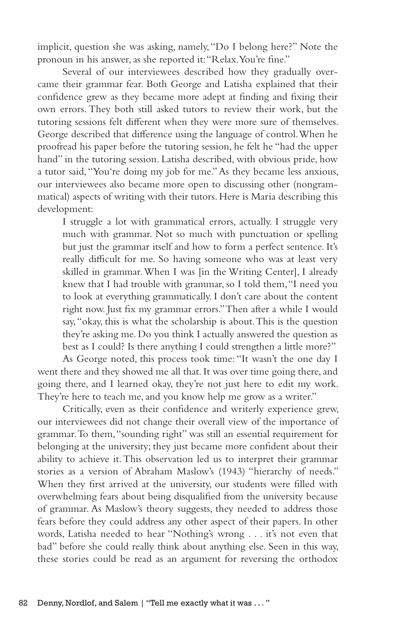implicit, question she was asking, namely, "Do I belong here?" Note the pronoun in his answer, as she reported it: "Relax. You're fine."

Several of our interviewees described how they gradually overcame their grammar fear. Both George and Latisha explained that their confidence grew as they became more adept at finding and fixing their own errors. They both still asked tutors to review their work, but the tutoring sessions felt different when they were more sure of themselves. George described that difference using the language of control. When he proofread his paper before the tutoring session, he felt he "had the upper hand" in the tutoring session. Latisha described, with obvious pride, how a tutor said, "You're doing my job for me." As they became less anxious, our interviewees also became more open to discussing other (nongrammatical) aspects of writing with their tutors. Here is Maria describing this development:

I struggle a lot with grammatical errors, actually. I struggle very much with grammar. Not so much with punctuation or spelling but just the grammar itself and how to form a perfect sentence. It's really difficult for me. So having someone who was at least very skilled in grammar. When I was [in the Writing Center], I already knew that I had trouble with grammar, so I told them, "I need you to look at everything grammatically. I don't care about the content right now. Just fix my grammar errors." Then after a while I would say, "okay, this is what the scholarship is about. This is the question they're asking me. Do you think I actually answered the question as best as I could? Is there anything I could strengthen a little more?"

As George noted, this process took time: "It wasn't the one day I went there and they showed me all that. It was over time going there, and going there, and I learned okay, they're not just here to edit my work. They're here to teach me, and you know help me grow as a writer."

Critically, even as their confidence and writerly experience grew, our interviewees did not change their overall view of the importance of grammar. To them, "sounding right" was still an essential requirement for belonging at the university; they just became more confident about their ability to achieve it. This observation led us to interpret their grammar stories as a version of Abraham Maslow's (1943) "hierarchy of needs." When they first arrived at the university, our students were filled with overwhelming fears about being disqualified from the university because of grammar. As Maslow's theory suggests, they needed to address those fears before they could address any other aspect of their papers. In other words, Latisha needed to hear "Nothing's wrong . . . it's not even that bad" before she could really think about anything else. Seen in this way, these stories could be read as an argument for reversing the orthodox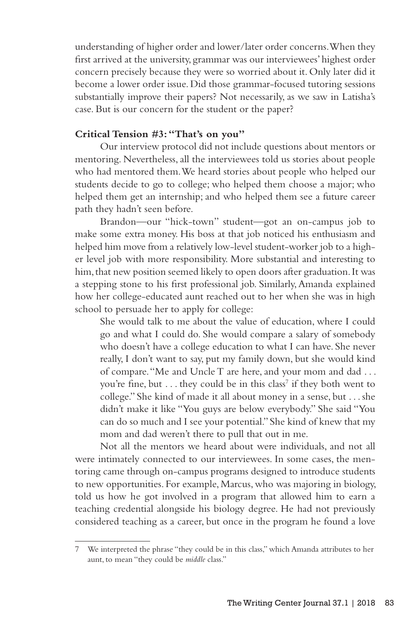understanding of higher order and lower/later order concerns. When they first arrived at the university, grammar was our interviewees' highest order concern precisely because they were so worried about it. Only later did it become a lower order issue. Did those grammar-focused tutoring sessions substantially improve their papers? Not necessarily, as we saw in Latisha's case. But is our concern for the student or the paper?

# **Critical Tension #3: "That's on you"**

Our interview protocol did not include questions about mentors or mentoring. Nevertheless, all the interviewees told us stories about people who had mentored them. We heard stories about people who helped our students decide to go to college; who helped them choose a major; who helped them get an internship; and who helped them see a future career path they hadn't seen before.

Brandon—our "hick-town" student—got an on-campus job to make some extra money. His boss at that job noticed his enthusiasm and helped him move from a relatively low-level student-worker job to a higher level job with more responsibility. More substantial and interesting to him, that new position seemed likely to open doors after graduation. It was a stepping stone to his first professional job. Similarly, Amanda explained how her college-educated aunt reached out to her when she was in high school to persuade her to apply for college:

She would talk to me about the value of education, where I could go and what I could do. She would compare a salary of somebody who doesn't have a college education to what I can have. She never really, I don't want to say, put my family down, but she would kind of compare. "Me and Uncle T are here, and your mom and dad . . . you're fine, but . . . they could be in this class<sup>7</sup> if they both went to college." She kind of made it all about money in a sense, but . . . she didn't make it like "You guys are below everybody." She said "You can do so much and I see your potential." She kind of knew that my mom and dad weren't there to pull that out in me.

Not all the mentors we heard about were individuals, and not all were intimately connected to our interviewees. In some cases, the mentoring came through on-campus programs designed to introduce students to new opportunities. For example, Marcus, who was majoring in biology, told us how he got involved in a program that allowed him to earn a teaching credential alongside his biology degree. He had not previously considered teaching as a career, but once in the program he found a love

<sup>7</sup> We interpreted the phrase "they could be in this class," which Amanda attributes to her aunt, to mean "they could be *middle* class."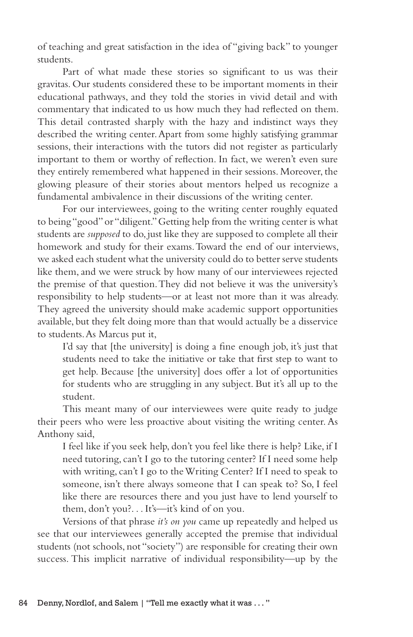of teaching and great satisfaction in the idea of "giving back" to younger students.

Part of what made these stories so significant to us was their gravitas. Our students considered these to be important moments in their educational pathways, and they told the stories in vivid detail and with commentary that indicated to us how much they had reflected on them. This detail contrasted sharply with the hazy and indistinct ways they described the writing center. Apart from some highly satisfying grammar sessions, their interactions with the tutors did not register as particularly important to them or worthy of reflection. In fact, we weren't even sure they entirely remembered what happened in their sessions. Moreover, the glowing pleasure of their stories about mentors helped us recognize a fundamental ambivalence in their discussions of the writing center.

For our interviewees, going to the writing center roughly equated to being "good" or "diligent." Getting help from the writing center is what students are *supposed* to do, just like they are supposed to complete all their homework and study for their exams. Toward the end of our interviews, we asked each student what the university could do to better serve students like them, and we were struck by how many of our interviewees rejected the premise of that question. They did not believe it was the university's responsibility to help students—or at least not more than it was already. They agreed the university should make academic support opportunities available, but they felt doing more than that would actually be a disservice to students. As Marcus put it,

I'd say that [the university] is doing a fine enough job, it's just that students need to take the initiative or take that first step to want to get help. Because [the university] does offer a lot of opportunities for students who are struggling in any subject. But it's all up to the student.

This meant many of our interviewees were quite ready to judge their peers who were less proactive about visiting the writing center. As Anthony said,

I feel like if you seek help, don't you feel like there is help? Like, if I need tutoring, can't I go to the tutoring center? If I need some help with writing, can't I go to the Writing Center? If I need to speak to someone, isn't there always someone that I can speak to? So, I feel like there are resources there and you just have to lend yourself to them, don't you?. . . It's—it's kind of on you.

Versions of that phrase *it's on you* came up repeatedly and helped us see that our interviewees generally accepted the premise that individual students (not schools, not "society") are responsible for creating their own success. This implicit narrative of individual responsibility—up by the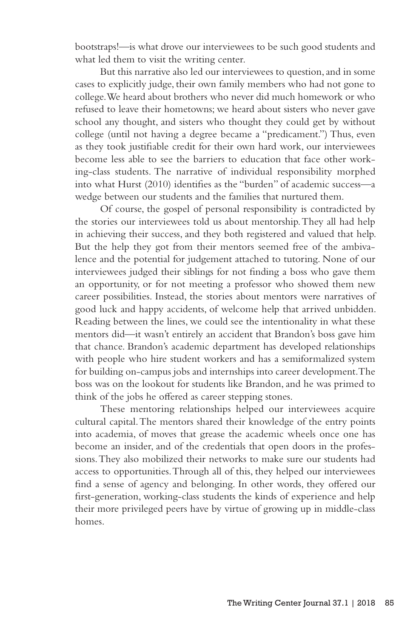bootstraps!—is what drove our interviewees to be such good students and what led them to visit the writing center.

But this narrative also led our interviewees to question, and in some cases to explicitly judge, their own family members who had not gone to college. We heard about brothers who never did much homework or who refused to leave their hometowns; we heard about sisters who never gave school any thought, and sisters who thought they could get by without college (until not having a degree became a "predicament.") Thus, even as they took justifiable credit for their own hard work, our interviewees become less able to see the barriers to education that face other working-class students. The narrative of individual responsibility morphed into what Hurst (2010) identifies as the "burden" of academic success—a wedge between our students and the families that nurtured them.

Of course, the gospel of personal responsibility is contradicted by the stories our interviewees told us about mentorship. They all had help in achieving their success, and they both registered and valued that help. But the help they got from their mentors seemed free of the ambivalence and the potential for judgement attached to tutoring. None of our interviewees judged their siblings for not finding a boss who gave them an opportunity, or for not meeting a professor who showed them new career possibilities. Instead, the stories about mentors were narratives of good luck and happy accidents, of welcome help that arrived unbidden. Reading between the lines, we could see the intentionality in what these mentors did—it wasn't entirely an accident that Brandon's boss gave him that chance. Brandon's academic department has developed relationships with people who hire student workers and has a semiformalized system for building on-campus jobs and internships into career development. The boss was on the lookout for students like Brandon, and he was primed to think of the jobs he offered as career stepping stones.

These mentoring relationships helped our interviewees acquire cultural capital. The mentors shared their knowledge of the entry points into academia, of moves that grease the academic wheels once one has become an insider, and of the credentials that open doors in the professions. They also mobilized their networks to make sure our students had access to opportunities. Through all of this, they helped our interviewees find a sense of agency and belonging. In other words, they offered our first-generation, working-class students the kinds of experience and help their more privileged peers have by virtue of growing up in middle-class homes.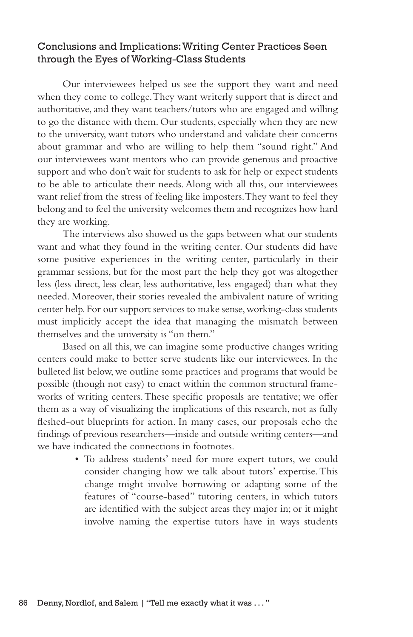# Conclusions and Implications: Writing Center Practices Seen through the Eyes of Working-Class Students

Our interviewees helped us see the support they want and need when they come to college. They want writerly support that is direct and authoritative, and they want teachers/tutors who are engaged and willing to go the distance with them. Our students, especially when they are new to the university, want tutors who understand and validate their concerns about grammar and who are willing to help them "sound right." And our interviewees want mentors who can provide generous and proactive support and who don't wait for students to ask for help or expect students to be able to articulate their needs. Along with all this, our interviewees want relief from the stress of feeling like imposters. They want to feel they belong and to feel the university welcomes them and recognizes how hard they are working.

The interviews also showed us the gaps between what our students want and what they found in the writing center. Our students did have some positive experiences in the writing center, particularly in their grammar sessions, but for the most part the help they got was altogether less (less direct, less clear, less authoritative, less engaged) than what they needed. Moreover, their stories revealed the ambivalent nature of writing center help. For our support services to make sense, working-class students must implicitly accept the idea that managing the mismatch between themselves and the university is "on them."

Based on all this, we can imagine some productive changes writing centers could make to better serve students like our interviewees. In the bulleted list below, we outline some practices and programs that would be possible (though not easy) to enact within the common structural frameworks of writing centers. These specific proposals are tentative; we offer them as a way of visualizing the implications of this research, not as fully fleshed-out blueprints for action. In many cases, our proposals echo the findings of previous researchers—inside and outside writing centers—and we have indicated the connections in footnotes.

> • To address students' need for more expert tutors, we could consider changing how we talk about tutors' expertise. This change might involve borrowing or adapting some of the features of "course-based" tutoring centers, in which tutors are identified with the subject areas they major in; or it might involve naming the expertise tutors have in ways students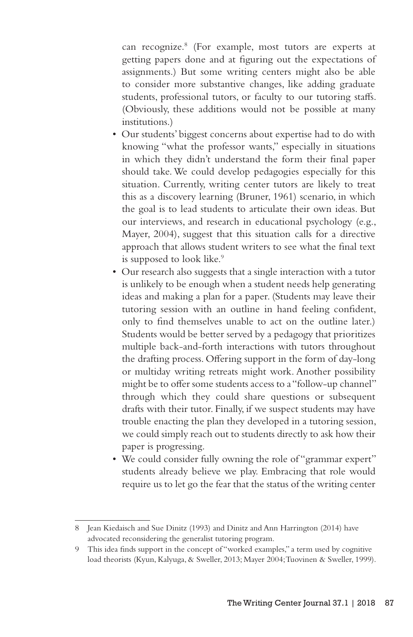can recognize.<sup>8</sup> (For example, most tutors are experts at getting papers done and at figuring out the expectations of assignments.) But some writing centers might also be able to consider more substantive changes, like adding graduate students, professional tutors, or faculty to our tutoring staffs. (Obviously, these additions would not be possible at many institutions.)

- Our students' biggest concerns about expertise had to do with knowing "what the professor wants," especially in situations in which they didn't understand the form their final paper should take. We could develop pedagogies especially for this situation. Currently, writing center tutors are likely to treat this as a discovery learning (Bruner, 1961) scenario, in which the goal is to lead students to articulate their own ideas. But our interviews, and research in educational psychology (e.g., Mayer, 2004), suggest that this situation calls for a directive approach that allows student writers to see what the final text is supposed to look like.<sup>9</sup>
- Our research also suggests that a single interaction with a tutor is unlikely to be enough when a student needs help generating ideas and making a plan for a paper. (Students may leave their tutoring session with an outline in hand feeling confident, only to find themselves unable to act on the outline later.) Students would be better served by a pedagogy that prioritizes multiple back-and-forth interactions with tutors throughout the drafting process. Offering support in the form of day-long or multiday writing retreats might work. Another possibility might be to offer some students access to a "follow-up channel" through which they could share questions or subsequent drafts with their tutor. Finally, if we suspect students may have trouble enacting the plan they developed in a tutoring session, we could simply reach out to students directly to ask how their paper is progressing.
- We could consider fully owning the role of "grammar expert" students already believe we play. Embracing that role would require us to let go the fear that the status of the writing center

<sup>8</sup> Jean Kiedaisch and Sue Dinitz (1993) and Dinitz and Ann Harrington (2014) have advocated reconsidering the generalist tutoring program.

<sup>9</sup> This idea finds support in the concept of "worked examples," a term used by cognitive load theorists (Kyun, Kalyuga, & Sweller, 2013; Mayer 2004; Tuovinen & Sweller, 1999).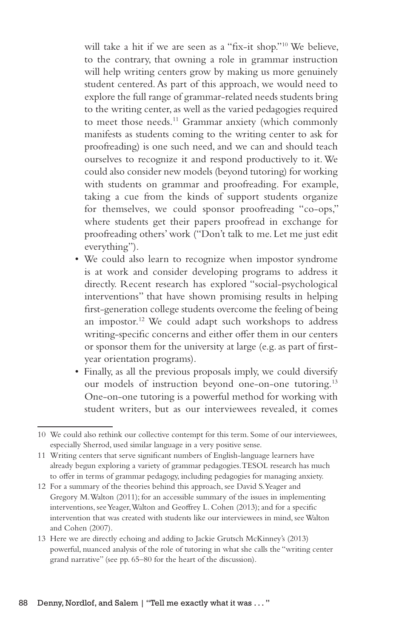will take a hit if we are seen as a "fix-it shop."10 We believe, to the contrary, that owning a role in grammar instruction will help writing centers grow by making us more genuinely student centered. As part of this approach, we would need to explore the full range of grammar-related needs students bring to the writing center, as well as the varied pedagogies required to meet those needs.<sup>11</sup> Grammar anxiety (which commonly manifests as students coming to the writing center to ask for proofreading) is one such need, and we can and should teach ourselves to recognize it and respond productively to it. We could also consider new models (beyond tutoring) for working with students on grammar and proofreading. For example, taking a cue from the kinds of support students organize for themselves, we could sponsor proofreading "co-ops," where students get their papers proofread in exchange for proofreading others' work ("Don't talk to me. Let me just edit everything").

- We could also learn to recognize when impostor syndrome is at work and consider developing programs to address it directly. Recent research has explored "social-psychological interventions" that have shown promising results in helping first-generation college students overcome the feeling of being an impostor.12 We could adapt such workshops to address writing-specific concerns and either offer them in our centers or sponsor them for the university at large (e.g. as part of firstyear orientation programs).
- Finally, as all the previous proposals imply, we could diversify our models of instruction beyond one-on-one tutoring.13 One-on-one tutoring is a powerful method for working with student writers, but as our interviewees revealed, it comes

12 For a summary of the theories behind this approach, see David S. Yeager and Gregory M. Walton (2011); for an accessible summary of the issues in implementing interventions, see Yeager, Walton and Geoffrey L. Cohen (2013); and for a specific intervention that was created with students like our interviewees in mind, see Walton and Cohen (2007).

<sup>10</sup> We could also rethink our collective contempt for this term. Some of our interviewees, especially Sherrod, used similar language in a very positive sense.

<sup>11</sup> Writing centers that serve significant numbers of English-language learners have already begun exploring a variety of grammar pedagogies. TESOL research has much to offer in terms of grammar pedagogy, including pedagogies for managing anxiety.

<sup>13</sup> Here we are directly echoing and adding to Jackie Grutsch McKinney's (2013) powerful, nuanced analysis of the role of tutoring in what she calls the "writing center grand narrative" (see pp. 65–80 for the heart of the discussion).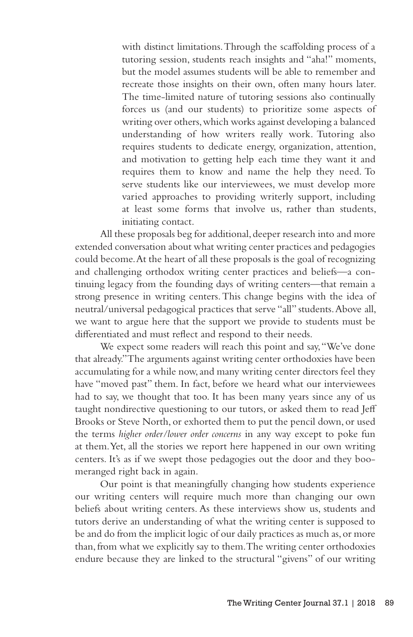with distinct limitations. Through the scaffolding process of a tutoring session, students reach insights and "aha!" moments, but the model assumes students will be able to remember and recreate those insights on their own, often many hours later. The time-limited nature of tutoring sessions also continually forces us (and our students) to prioritize some aspects of writing over others, which works against developing a balanced understanding of how writers really work. Tutoring also requires students to dedicate energy, organization, attention, and motivation to getting help each time they want it and requires them to know and name the help they need. To serve students like our interviewees, we must develop more varied approaches to providing writerly support, including at least some forms that involve us, rather than students, initiating contact.

All these proposals beg for additional, deeper research into and more extended conversation about what writing center practices and pedagogies could become. At the heart of all these proposals is the goal of recognizing and challenging orthodox writing center practices and beliefs—a continuing legacy from the founding days of writing centers—that remain a strong presence in writing centers. This change begins with the idea of neutral/universal pedagogical practices that serve "all" students. Above all, we want to argue here that the support we provide to students must be differentiated and must reflect and respond to their needs.

We expect some readers will reach this point and say, "We've done that already." The arguments against writing center orthodoxies have been accumulating for a while now, and many writing center directors feel they have "moved past" them. In fact, before we heard what our interviewees had to say, we thought that too. It has been many years since any of us taught nondirective questioning to our tutors, or asked them to read Jeff Brooks or Steve North, or exhorted them to put the pencil down, or used the terms *higher order/lower order concerns* in any way except to poke fun at them. Yet, all the stories we report here happened in our own writing centers. It's as if we swept those pedagogies out the door and they boomeranged right back in again.

Our point is that meaningfully changing how students experience our writing centers will require much more than changing our own beliefs about writing centers. As these interviews show us, students and tutors derive an understanding of what the writing center is supposed to be and do from the implicit logic of our daily practices as much as, or more than, from what we explicitly say to them. The writing center orthodoxies endure because they are linked to the structural "givens" of our writing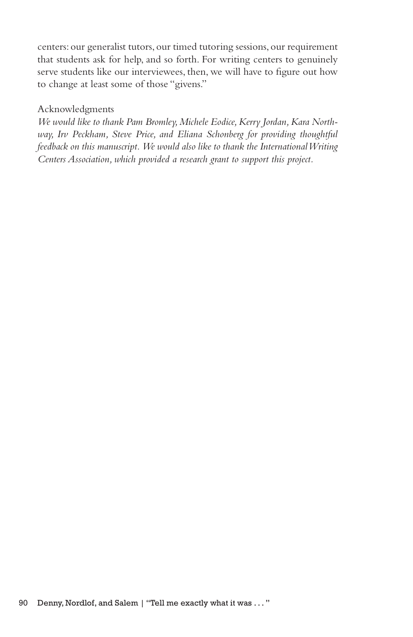centers: our generalist tutors, our timed tutoring sessions, our requirement that students ask for help, and so forth. For writing centers to genuinely serve students like our interviewees, then, we will have to figure out how to change at least some of those "givens."

# Acknowledgments

*We would like to thank Pam Bromley, Michele Eodice, Kerry Jordan, Kara Northway, Irv Peckham, Steve Price, and Eliana Schonberg for providing thoughtful feedback on this manuscript. We would also like to thank the International Writing Centers Association, which provided a research grant to support this project.*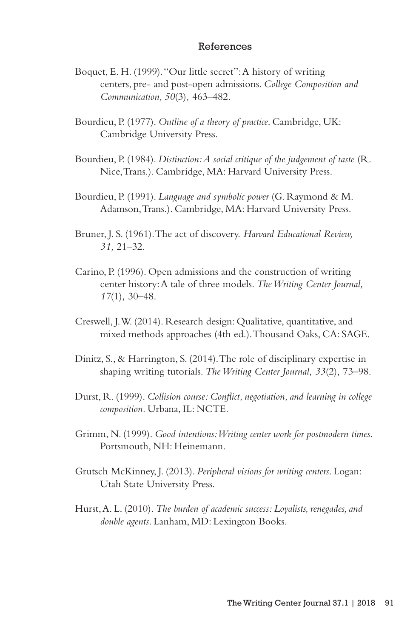### References

- Boquet, E. H. (1999). "Our little secret": A history of writing centers, pre- and post-open admissions. *College Composition and Communication, 50*(3)*,* 463–482.
- Bourdieu, P. (1977). *Outline of a theory of practice*. Cambridge, UK: Cambridge University Press.
- Bourdieu, P. (1984). *Distinction: A social critique of the judgement of taste* (R. Nice, Trans.). Cambridge, MA: Harvard University Press.
- Bourdieu, P. (1991). *Language and symbolic power* (G. Raymond & M. Adamson, Trans.). Cambridge, MA: Harvard University Press.
- Bruner, J. S. (1961). The act of discovery. *Harvard Educational Review, 31,* 21–32.
- Carino, P. (1996). Open admissions and the construction of writing center history: A tale of three models. *The Writing Center Journal, 17*(1)*,* 30–48.
- Creswell, J. W. (2014). Research design: Qualitative, quantitative, and mixed methods approaches (4th ed.). Thousand Oaks, CA: SAGE.
- Dinitz, S., & Harrington, S. (2014). The role of disciplinary expertise in shaping writing tutorials. *The Writing Center Journal, 33*(2)*,* 73–98.
- Durst, R. (1999). *Collision course: Conflict, negotiation, and learning in college composition.* Urbana, IL: NCTE.
- Grimm, N. (1999). *Good intentions: Writing center work for postmodern times*. Portsmouth, NH: Heinemann.
- Grutsch McKinney, J. (2013). *Peripheral visions for writing centers*. Logan: Utah State University Press.
- Hurst, A. L. (2010). *The burden of academic success: Loyalists, renegades, and double agents*. Lanham, MD: Lexington Books.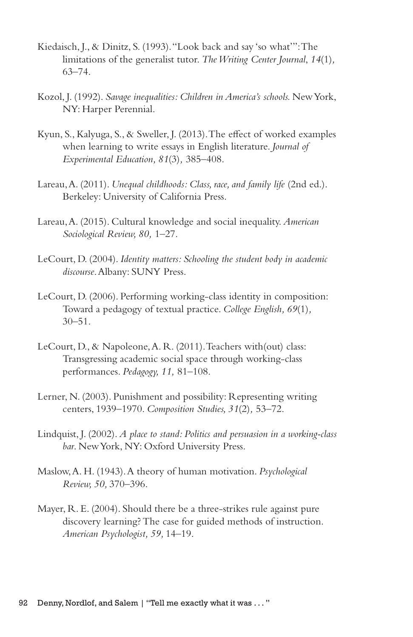- Kiedaisch, J., & Dinitz, S. (1993). "Look back and say 'so what'": The limitations of the generalist tutor. *The Writing Center Journal*, *14*(1)*,* 63–74.
- Kozol, J. (1992). *Savage inequalities: Children in America's schools.* New York, NY: Harper Perennial.
- Kyun, S., Kalyuga, S., & Sweller, J. (2013). The effect of worked examples when learning to write essays in English literature. *Journal of Experimental Education, 81*(3)*,* 385–408.
- Lareau, A. (2011). *Unequal childhoods: Class, race, and family life* (2nd ed.). Berkeley: University of California Press.
- Lareau, A. (2015). Cultural knowledge and social inequality. *American Sociological Review, 80,* 1–27.
- LeCourt, D. (2004). *Identity matters: Schooling the student body in academic discourse*. Albany: SUNY Press.
- LeCourt, D. (2006). Performing working-class identity in composition: Toward a pedagogy of textual practice. *College English, 69*(1)*,* 30–51.
- LeCourt, D., & Napoleone, A. R. (2011). Teachers with(out) class: Transgressing academic social space through working-class performances. *Pedagogy, 11,* 81–108.
- Lerner, N. (2003). Punishment and possibility: Representing writing centers, 1939–1970. *Composition Studies, 31*(2)*,* 53–72.
- Lindquist, J. (2002). *A place to stand: Politics and persuasion in a working-class bar*. New York, NY: Oxford University Press.
- Maslow, A. H. (1943). A theory of human motivation. *Psychological Review, 50,* 370–396.
- Mayer, R. E. (2004). Should there be a three-strikes rule against pure discovery learning? The case for guided methods of instruction. *American Psychologist, 59,* 14–19.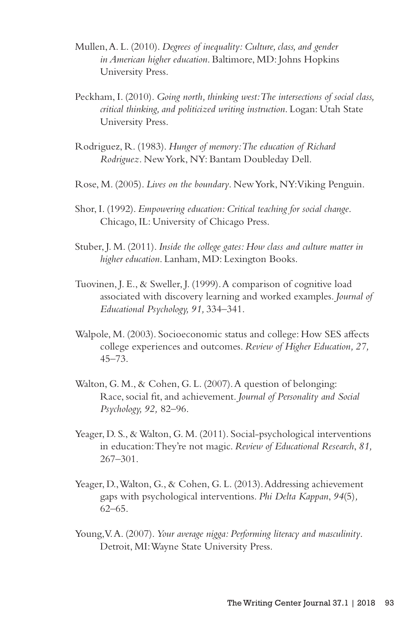- Mullen, A. L. (2010). *Degrees of inequality: Culture, class, and gender in American higher education*. Baltimore, MD: Johns Hopkins University Press.
- Peckham, I. (2010). *Going north, thinking west: The intersections of social class, critical thinking, and politicized writing instruction*. Logan: Utah State University Press.
- Rodriguez, R. (1983). *Hunger of memory: The education of Richard Rodriguez*. New York, NY: Bantam Doubleday Dell.
- Rose, M. (2005). *Lives on the boundary*. New York, NY: Viking Penguin.
- Shor, I. (1992). *Empowering education: Critical teaching for social change*. Chicago, IL: University of Chicago Press.
- Stuber, J. M. (2011). *Inside the college gates: How class and culture matter in higher education*. Lanham, MD: Lexington Books.
- Tuovinen, J. E., & Sweller, J. (1999). A comparison of cognitive load associated with discovery learning and worked examples. *Journal of Educational Psychology, 91,* 334–341.
- Walpole, M. (2003). Socioeconomic status and college: How SES affects college experiences and outcomes. *Review of Higher Education, 27,* 45–73.
- Walton, G. M., & Cohen, G. L. (2007). A question of belonging: Race, social fit, and achievement. *Journal of Personality and Social Psychology, 92,* 82–96.
- Yeager, D. S., & Walton, G. M. (2011). Social-psychological interventions in education: They're not magic. *Review of Educational Research*, *81,* 267–301.
- Yeager, D., Walton, G., & Cohen, G. L. (2013). Addressing achievement gaps with psychological interventions. *Phi Delta Kappan*, *94*(5)*,* 62–65.
- Young, V. A. (2007). *Your average nigga: Performing literacy and masculinity*. Detroit, MI: Wayne State University Press.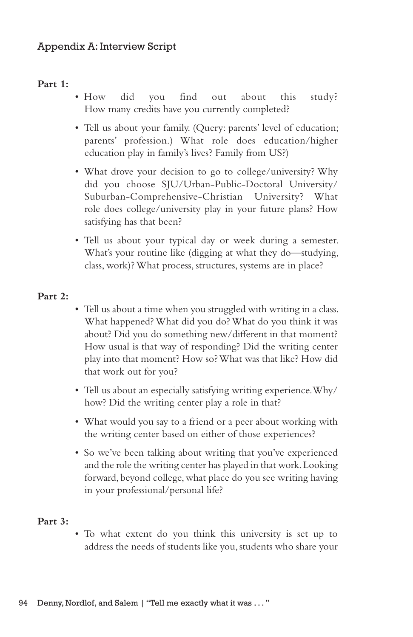# **Part 1:**

- How did you find out about this study? How many credits have you currently completed?
- Tell us about your family. (Query: parents' level of education; parents' profession.) What role does education/higher education play in family's lives? Family from US?)
- What drove your decision to go to college/university? Why did you choose SJU/Urban-Public-Doctoral University/ Suburban-Comprehensive-Christian University? What role does college/university play in your future plans? How satisfying has that been?
- Tell us about your typical day or week during a semester. What's your routine like (digging at what they do—studying, class, work)? What process, structures, systems are in place?

# **Part 2:**

- Tell us about a time when you struggled with writing in a class. What happened? What did you do? What do you think it was about? Did you do something new/different in that moment? How usual is that way of responding? Did the writing center play into that moment? How so? What was that like? How did that work out for you?
- Tell us about an especially satisfying writing experience. Why/ how? Did the writing center play a role in that?
- What would you say to a friend or a peer about working with the writing center based on either of those experiences?
- So we've been talking about writing that you've experienced and the role the writing center has played in that work. Looking forward, beyond college, what place do you see writing having in your professional/personal life?

### **Part 3:**

• To what extent do you think this university is set up to address the needs of students like you, students who share your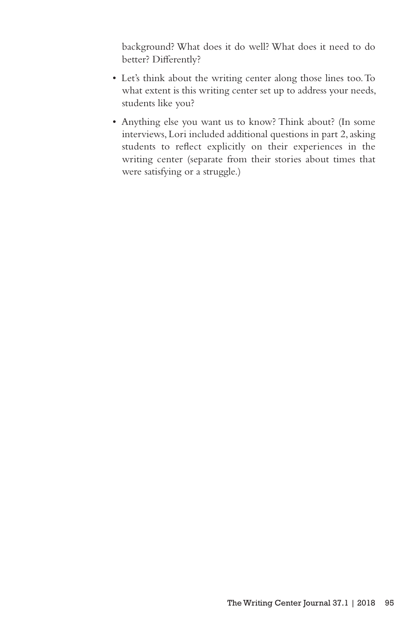background? What does it do well? What does it need to do better? Differently?

- Let's think about the writing center along those lines too. To what extent is this writing center set up to address your needs, students like you?
- Anything else you want us to know? Think about? (In some interviews, Lori included additional questions in part 2, asking students to reflect explicitly on their experiences in the writing center (separate from their stories about times that were satisfying or a struggle.)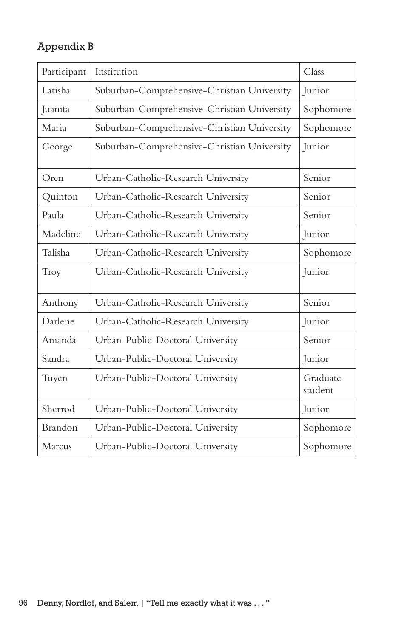# Appendix B

| Participant | Institution                                 | Class               |
|-------------|---------------------------------------------|---------------------|
| Latisha     | Suburban-Comprehensive-Christian University | Junior              |
| Juanita     | Suburban-Comprehensive-Christian University | Sophomore           |
| Maria       | Suburban-Comprehensive-Christian University | Sophomore           |
| George      | Suburban-Comprehensive-Christian University | Junior              |
| Oren        | Urban-Catholic-Research University          | Senior              |
| Quinton     | Urban-Catholic-Research University          | Senior              |
| Paula       | Urban-Catholic-Research University          | Senior              |
| Madeline    | Urban-Catholic-Research University          | Junior              |
| Talisha     | Urban-Catholic-Research University          | Sophomore           |
| Troy        | Urban-Catholic-Research University          | Junior              |
| Anthony     | Urban-Catholic-Research University          | Senior              |
| Darlene     | Urban-Catholic-Research University          | Junior              |
| Amanda      | Urban-Public-Doctoral University            | Senior              |
| Sandra      | Urban-Public-Doctoral University            | <b>Junior</b>       |
| Tuyen       | Urban-Public-Doctoral University            | Graduate<br>student |
| Sherrod     | Urban-Public-Doctoral University            | Junior              |
| Brandon     | Urban-Public-Doctoral University            | Sophomore           |
| Marcus      | Urban-Public-Doctoral University            | Sophomore           |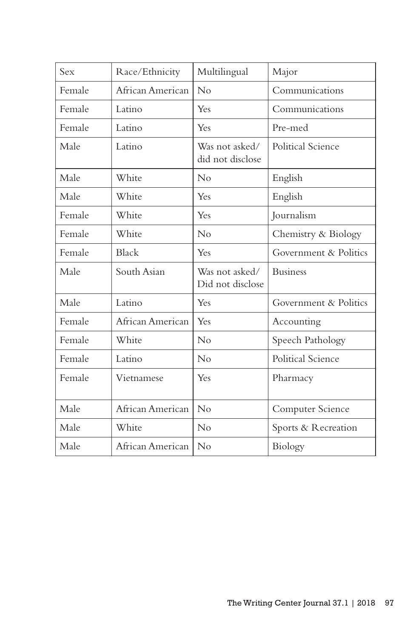| Race/Ethnicity   | Multilingual                       | Major                 |
|------------------|------------------------------------|-----------------------|
| African American | No                                 | Communications        |
| Latino           | Yes                                | Communications        |
| Latino           | Yes                                | Pre-med               |
| Latino           | Was not asked/<br>did not disclose | Political Science     |
| White            | No                                 | English               |
| White            | Yes                                | English               |
| White            | Yes                                | Journalism            |
| White            | $\rm No$                           | Chemistry & Biology   |
| Black            | Yes                                | Government & Politics |
| South Asian      | Was not asked/<br>Did not disclose | <b>Business</b>       |
| Latino           | Yes                                | Government & Politics |
| African American | Yes                                | Accounting            |
| White            | No                                 | Speech Pathology      |
| Latino           | No                                 | Political Science     |
| Vietnamese       | Yes                                | Pharmacy              |
| African American | No                                 | Computer Science      |
| White            | No                                 | Sports & Recreation   |
|                  |                                    | Biology               |
|                  |                                    | African American   No |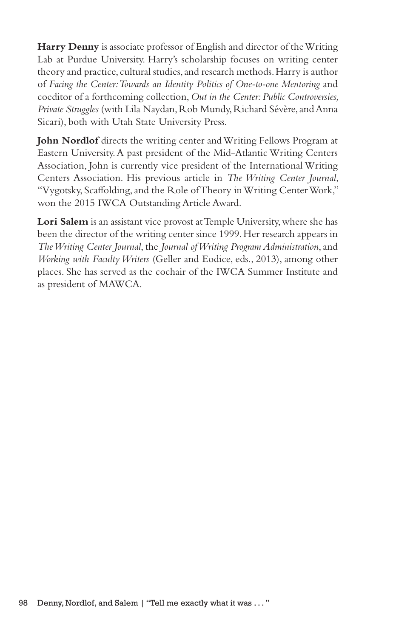**Harry Denny** is associate professor of English and director of the Writing Lab at Purdue University. Harry's scholarship focuses on writing center theory and practice, cultural studies, and research methods. Harry is author of *Facing the Center: Towards an Identity Politics of One-to-one Mentoring* and coeditor of a forthcoming collection, *Out in the Center: Public Controversies, Private Struggles* (with Lila Naydan, Rob Mundy, Richard Sévère, and Anna Sicari), both with Utah State University Press.

**John Nordlof** directs the writing center and Writing Fellows Program at Eastern University. A past president of the Mid-Atlantic Writing Centers Association, John is currently vice president of the International Writing Centers Association. His previous article in *The Writing Center Journal*, "Vygotsky, Scaffolding, and the Role of Theory in Writing Center Work," won the 2015 IWCA Outstanding Article Award.

**Lori Salem** is an assistant vice provost at Temple University, where she has been the director of the writing center since 1999. Her research appears in *The Writing Center Journal*, the *Journal of Writing Program Administration*, and *Working with Faculty Writers* (Geller and Eodice, eds., 2013), among other places. She has served as the cochair of the IWCA Summer Institute and as president of MAWCA.